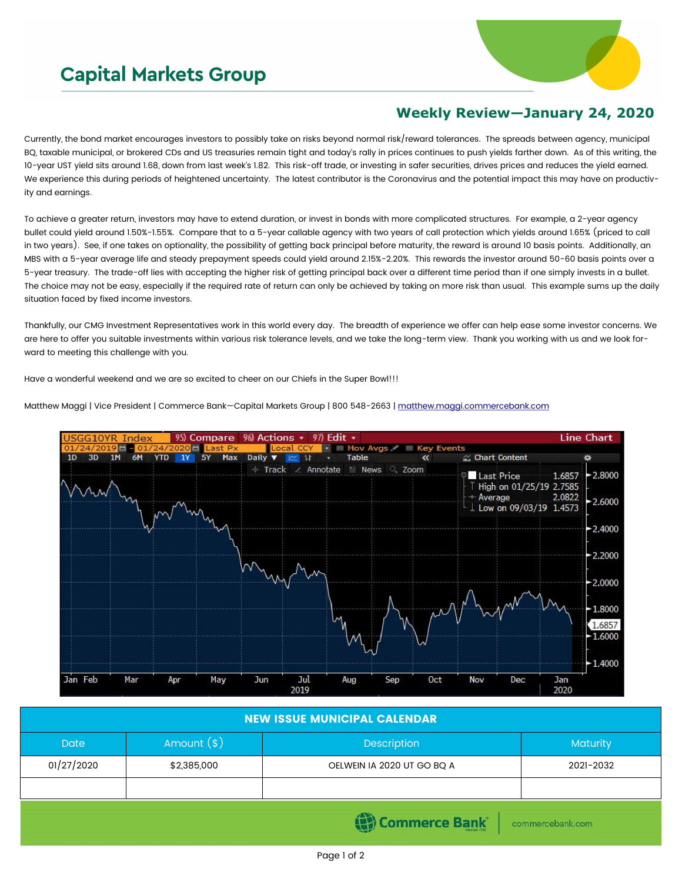## **Capital Markets Group**



## **Weekly Review—January 24, 2020**

Currently, the bond market encourages investors to possibly take on risks beyond normal risk/reward tolerances. The spreads between agency, municipal BQ, taxable municipal, or brokered CDs and US treasuries remain tight and today's rally in prices continues to push yields farther down. As of this writing, the 10-year UST yield sits around 1.68, down from last week's 1.82. This risk-off trade, or investing in safer securities, drives prices and reduces the yield earned. We experience this during periods of heightened uncertainty. The latest contributor is the Coronavirus and the potential impact this may have on productivity and earnings.

To achieve a greater return, investors may have to extend duration, or invest in bonds with more complicated structures. For example, a 2-year agency bullet could yield around 1.50%-1.55%. Compare that to a 5-year callable agency with two years of call protection which yields around 1.65% (priced to call in two years). See, if one takes on optionality, the possibility of getting back principal before maturity, the reward is around 10 basis points. Additionally, an MBS with a 5-year average life and steady prepayment speeds could yield around 2.15%-2.20%. This rewards the investor around 50-60 basis points over a 5-year treasury. The trade-off lies with accepting the higher risk of getting principal back over a different time period than if one simply invests in a bullet. The choice may not be easy, especially if the required rate of return can only be achieved by taking on more risk than usual. This example sums up the daily situation faced by fixed income investors.

Thankfully, our CMG Investment Representatives work in this world every day. The breadth of experience we offer can help ease some investor concerns. We are here to offer you suitable investments within various risk tolerance levels, and we take the long-term view. Thank you working with us and we look forward to meeting this challenge with you.

Have a wonderful weekend and we are so excited to cheer on our Chiefs in the Super Bowl!!!

Matthew Maggi | Vice President | Commerce Bank-Capital Markets Group | 800 548-2663 | [matthew.maggi.commercebank.com](mailto:matthew.maggi@commercebank.com)



| <b>NEW ISSUE MUNICIPAL CALENDAR,</b> |              |                            |                 |  |  |  |  |  |  |
|--------------------------------------|--------------|----------------------------|-----------------|--|--|--|--|--|--|
| Date                                 | Amount $(s)$ | Description                | <b>Maturity</b> |  |  |  |  |  |  |
| 01/27/2020                           | \$2,385,000  | OELWEIN IA 2020 UT GO BO A | 2021-2032       |  |  |  |  |  |  |
|                                      |              |                            |                 |  |  |  |  |  |  |

Commerce Bank

commercebank.com